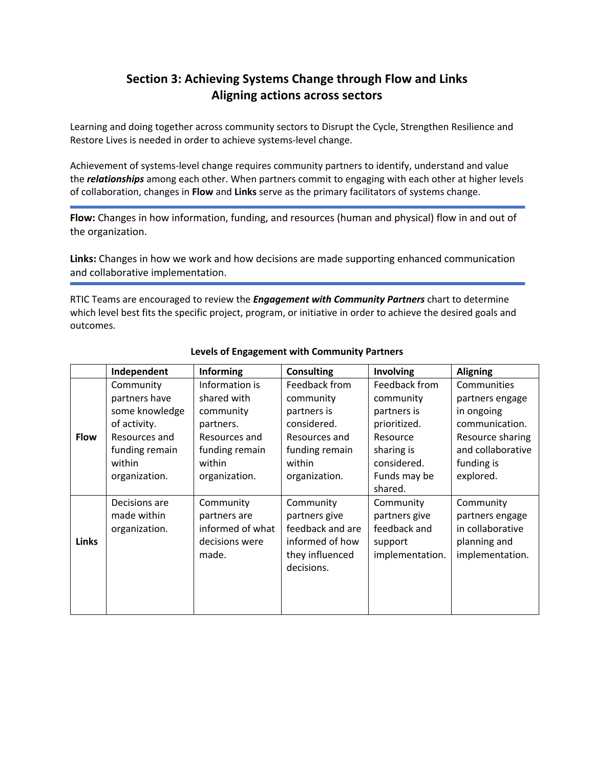## **Section 3: Achieving Systems Change through Flow and Links Aligning actions across sectors**

Learning and doing together across community sectors to Disrupt the Cycle, Strengthen Resilience and Restore Lives is needed in order to achieve systems-level change.

Achievement of systems-level change requires community partners to identify, understand and value the *relationships* among each other. When partners commit to engaging with each other at higher levels of collaboration, changes in **Flow** and **Links** serve as the primary facilitators of systems change.

**Flow:** Changes in how information, funding, and resources (human and physical) flow in and out of the organization.

**Links:** Changes in how we work and how decisions are made supporting enhanced communication and collaborative implementation.

RTIC Teams are encouraged to review the *Engagement with Community Partners* chart to determine which level best fits the specific project, program, or initiative in order to achieve the desired goals and outcomes.

|              | Independent    | <b>Informing</b> | <b>Consulting</b> | Involving       | <b>Aligning</b>   |
|--------------|----------------|------------------|-------------------|-----------------|-------------------|
|              | Community      | Information is   | Feedback from     | Feedback from   | Communities       |
|              | partners have  | shared with      | community         | community       | partners engage   |
|              | some knowledge | community        | partners is       | partners is     | in ongoing        |
|              | of activity.   | partners.        | considered.       | prioritized.    | communication.    |
| <b>Flow</b>  | Resources and  | Resources and    | Resources and     | Resource        | Resource sharing  |
|              | funding remain | funding remain   | funding remain    | sharing is      | and collaborative |
|              | within         | within           | within            | considered.     | funding is        |
|              | organization.  | organization.    | organization.     | Funds may be    | explored.         |
|              |                |                  |                   | shared.         |                   |
|              | Decisions are  | Community        | Community         | Community       | Community         |
|              | made within    | partners are     | partners give     | partners give   | partners engage   |
|              | organization.  | informed of what | feedback and are  | feedback and    | in collaborative  |
| <b>Links</b> |                | decisions were   | informed of how   | support         | planning and      |
|              |                | made.            | they influenced   | implementation. | implementation.   |
|              |                |                  | decisions.        |                 |                   |
|              |                |                  |                   |                 |                   |
|              |                |                  |                   |                 |                   |
|              |                |                  |                   |                 |                   |

## **Levels of Engagement with Community Partners**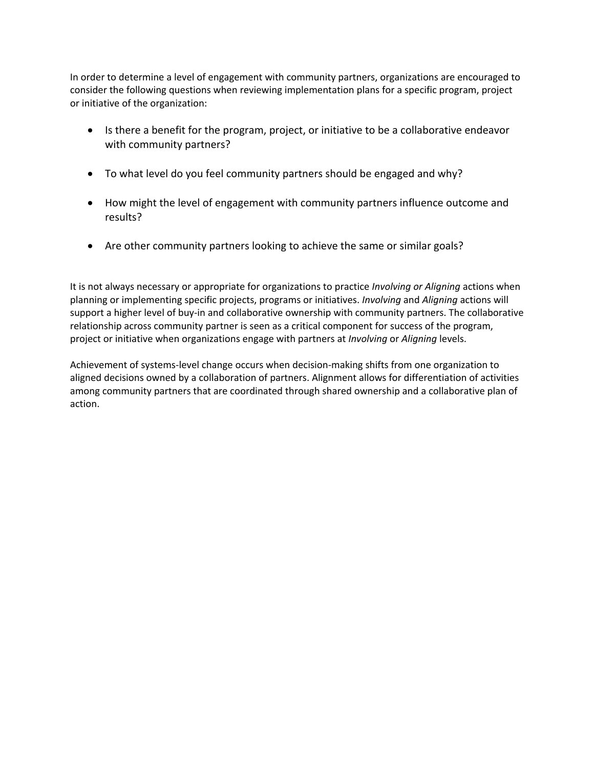In order to determine a level of engagement with community partners, organizations are encouraged to consider the following questions when reviewing implementation plans for a specific program, project or initiative of the organization:

- Is there a benefit for the program, project, or initiative to be a collaborative endeavor with community partners?
- To what level do you feel community partners should be engaged and why?
- How might the level of engagement with community partners influence outcome and results?
- Are other community partners looking to achieve the same or similar goals?

It is not always necessary or appropriate for organizations to practice *Involving or Aligning* actions when planning or implementing specific projects, programs or initiatives. *Involving* and *Aligning* actions will support a higher level of buy-in and collaborative ownership with community partners. The collaborative relationship across community partner is seen as a critical component for success of the program, project or initiative when organizations engage with partners at *Involving* or *Aligning* levels.

Achievement of systems-level change occurs when decision-making shifts from one organization to aligned decisions owned by a collaboration of partners. Alignment allows for differentiation of activities among community partners that are coordinated through shared ownership and a collaborative plan of action.